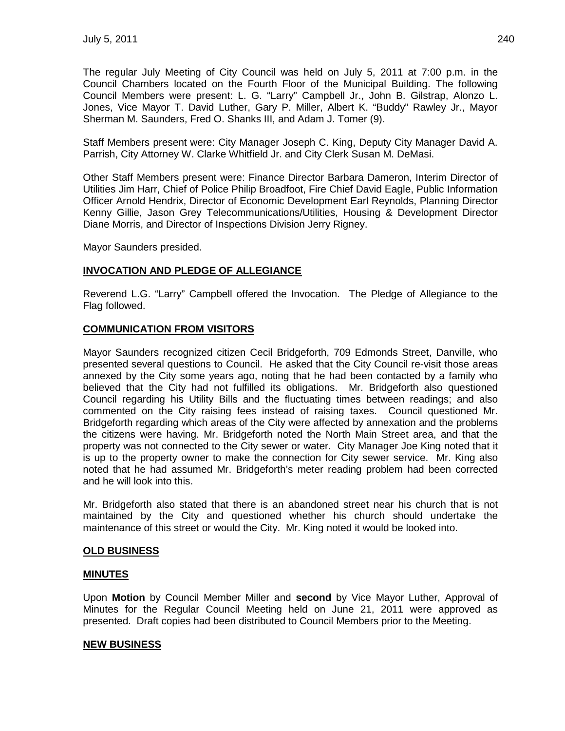The regular July Meeting of City Council was held on July 5, 2011 at 7:00 p.m. in the Council Chambers located on the Fourth Floor of the Municipal Building. The following Council Members were present: L. G. "Larry" Campbell Jr., John B. Gilstrap, Alonzo L. Jones, Vice Mayor T. David Luther, Gary P. Miller, Albert K. "Buddy" Rawley Jr., Mayor Sherman M. Saunders, Fred O. Shanks III, and Adam J. Tomer (9).

Staff Members present were: City Manager Joseph C. King, Deputy City Manager David A. Parrish, City Attorney W. Clarke Whitfield Jr. and City Clerk Susan M. DeMasi.

Other Staff Members present were: Finance Director Barbara Dameron, Interim Director of Utilities Jim Harr, Chief of Police Philip Broadfoot, Fire Chief David Eagle, Public Information Officer Arnold Hendrix, Director of Economic Development Earl Reynolds, Planning Director Kenny Gillie, Jason Grey Telecommunications/Utilities, Housing & Development Director Diane Morris, and Director of Inspections Division Jerry Rigney.

Mayor Saunders presided.

# **INVOCATION AND PLEDGE OF ALLEGIANCE**

Reverend L.G. "Larry" Campbell offered the Invocation. The Pledge of Allegiance to the Flag followed.

## **COMMUNICATION FROM VISITORS**

Mayor Saunders recognized citizen Cecil Bridgeforth, 709 Edmonds Street, Danville, who presented several questions to Council. He asked that the City Council re-visit those areas annexed by the City some years ago, noting that he had been contacted by a family who believed that the City had not fulfilled its obligations. Mr. Bridgeforth also questioned Council regarding his Utility Bills and the fluctuating times between readings; and also commented on the City raising fees instead of raising taxes. Council questioned Mr. Bridgeforth regarding which areas of the City were affected by annexation and the problems the citizens were having. Mr. Bridgeforth noted the North Main Street area, and that the property was not connected to the City sewer or water. City Manager Joe King noted that it is up to the property owner to make the connection for City sewer service. Mr. King also noted that he had assumed Mr. Bridgeforth's meter reading problem had been corrected and he will look into this.

Mr. Bridgeforth also stated that there is an abandoned street near his church that is not maintained by the City and questioned whether his church should undertake the maintenance of this street or would the City. Mr. King noted it would be looked into.

## **OLD BUSINESS**

## **MINUTES**

Upon **Motion** by Council Member Miller and **second** by Vice Mayor Luther, Approval of Minutes for the Regular Council Meeting held on June 21, 2011 were approved as presented. Draft copies had been distributed to Council Members prior to the Meeting.

## **NEW BUSINESS**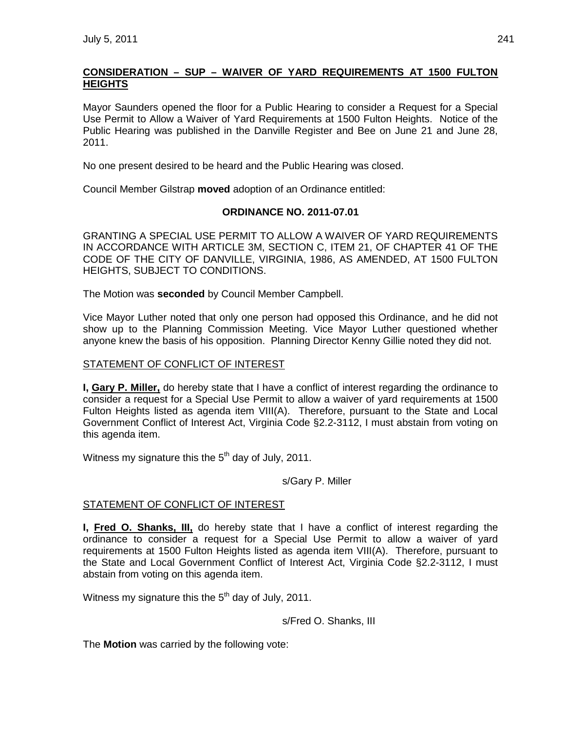# **CONSIDERATION – SUP – WAIVER OF YARD REQUIREMENTS AT 1500 FULTON HEIGHTS**

Mayor Saunders opened the floor for a Public Hearing to consider a Request for a Special Use Permit to Allow a Waiver of Yard Requirements at 1500 Fulton Heights. Notice of the Public Hearing was published in the Danville Register and Bee on June 21 and June 28, 2011.

No one present desired to be heard and the Public Hearing was closed.

Council Member Gilstrap **moved** adoption of an Ordinance entitled:

## **ORDINANCE NO. 2011-07.01**

GRANTING A SPECIAL USE PERMIT TO ALLOW A WAIVER OF YARD REQUIREMENTS IN ACCORDANCE WITH ARTICLE 3M, SECTION C, ITEM 21, OF CHAPTER 41 OF THE CODE OF THE CITY OF DANVILLE, VIRGINIA, 1986, AS AMENDED, AT 1500 FULTON HEIGHTS, SUBJECT TO CONDITIONS.

The Motion was **seconded** by Council Member Campbell.

Vice Mayor Luther noted that only one person had opposed this Ordinance, and he did not show up to the Planning Commission Meeting. Vice Mayor Luther questioned whether anyone knew the basis of his opposition. Planning Director Kenny Gillie noted they did not.

### STATEMENT OF CONFLICT OF INTEREST

**I, Gary P. Miller,** do hereby state that I have a conflict of interest regarding the ordinance to consider a request for a Special Use Permit to allow a waiver of yard requirements at 1500 Fulton Heights listed as agenda item VIII(A). Therefore, pursuant to the State and Local Government Conflict of Interest Act, Virginia Code §2.2-3112, I must abstain from voting on this agenda item.

Witness my signature this the 5<sup>th</sup> day of July, 2011.

s/Gary P. Miller

## STATEMENT OF CONFLICT OF INTEREST

**I, Fred O. Shanks, III,** do hereby state that I have a conflict of interest regarding the ordinance to consider a request for a Special Use Permit to allow a waiver of yard requirements at 1500 Fulton Heights listed as agenda item VIII(A). Therefore, pursuant to the State and Local Government Conflict of Interest Act, Virginia Code §2.2-3112, I must abstain from voting on this agenda item.

Witness my signature this the  $5<sup>th</sup>$  day of July, 2011.

s/Fred O. Shanks, III

The **Motion** was carried by the following vote: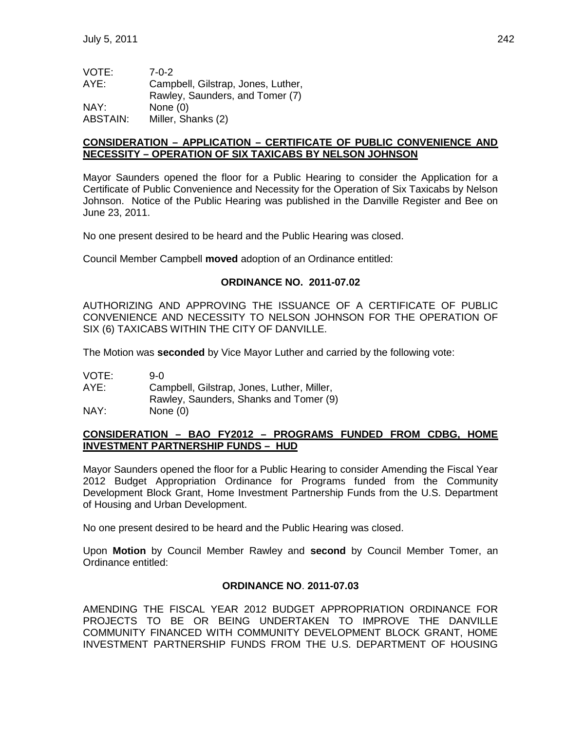| VOTE:    | $7 - 0 - 2$                        |
|----------|------------------------------------|
| AYE:     | Campbell, Gilstrap, Jones, Luther, |
|          | Rawley, Saunders, and Tomer (7)    |
| NAY:     | None $(0)$                         |
| ABSTAIN: | Miller, Shanks (2)                 |

### **CONSIDERATION – APPLICATION – CERTIFICATE OF PUBLIC CONVENIENCE AND NECESSITY – OPERATION OF SIX TAXICABS BY NELSON JOHNSON**

Mayor Saunders opened the floor for a Public Hearing to consider the Application for a Certificate of Public Convenience and Necessity for the Operation of Six Taxicabs by Nelson Johnson. Notice of the Public Hearing was published in the Danville Register and Bee on June 23, 2011.

No one present desired to be heard and the Public Hearing was closed.

Council Member Campbell **moved** adoption of an Ordinance entitled:

### **ORDINANCE NO. 2011-07.02**

AUTHORIZING AND APPROVING THE ISSUANCE OF A CERTIFICATE OF PUBLIC CONVENIENCE AND NECESSITY TO NELSON JOHNSON FOR THE OPERATION OF SIX (6) TAXICABS WITHIN THE CITY OF DANVILLE.

The Motion was **seconded** by Vice Mayor Luther and carried by the following vote:

| VOTE: | 9-0                                        |
|-------|--------------------------------------------|
| AYE:  | Campbell, Gilstrap, Jones, Luther, Miller, |
|       | Rawley, Saunders, Shanks and Tomer (9)     |
| NAY:  | None $(0)$                                 |

## **CONSIDERATION – BAO FY2012 – PROGRAMS FUNDED FROM CDBG, HOME INVESTMENT PARTNERSHIP FUNDS – HUD**

Mayor Saunders opened the floor for a Public Hearing to consider Amending the Fiscal Year 2012 Budget Appropriation Ordinance for Programs funded from the Community Development Block Grant, Home Investment Partnership Funds from the U.S. Department of Housing and Urban Development.

No one present desired to be heard and the Public Hearing was closed.

Upon **Motion** by Council Member Rawley and **second** by Council Member Tomer, an Ordinance entitled:

## **ORDINANCE NO**. **2011-07.03**

AMENDING THE FISCAL YEAR 2012 BUDGET APPROPRIATION ORDINANCE FOR PROJECTS TO BE OR BEING UNDERTAKEN TO IMPROVE THE DANVILLE COMMUNITY FINANCED WITH COMMUNITY DEVELOPMENT BLOCK GRANT, HOME INVESTMENT PARTNERSHIP FUNDS FROM THE U.S. DEPARTMENT OF HOUSING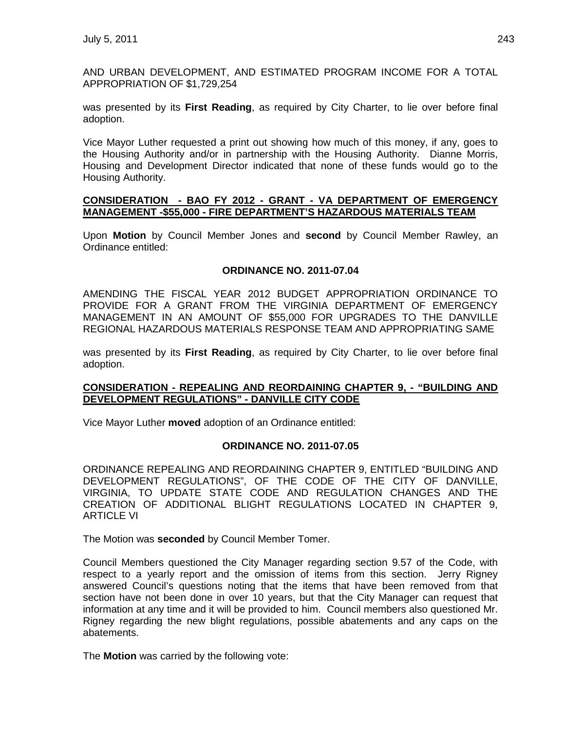AND URBAN DEVELOPMENT, AND ESTIMATED PROGRAM INCOME FOR A TOTAL APPROPRIATION OF \$1,729,254

was presented by its **First Reading**, as required by City Charter, to lie over before final adoption.

Vice Mayor Luther requested a print out showing how much of this money, if any, goes to the Housing Authority and/or in partnership with the Housing Authority. Dianne Morris, Housing and Development Director indicated that none of these funds would go to the Housing Authority.

#### **CONSIDERATION - BAO FY 2012 - GRANT - VA DEPARTMENT OF EMERGENCY MANAGEMENT -\$55,000 - FIRE DEPARTMENT'S HAZARDOUS MATERIALS TEAM**

Upon **Motion** by Council Member Jones and **second** by Council Member Rawley, an Ordinance entitled:

#### **ORDINANCE NO. 2011-07.04**

AMENDING THE FISCAL YEAR 2012 BUDGET APPROPRIATION ORDINANCE TO PROVIDE FOR A GRANT FROM THE VIRGINIA DEPARTMENT OF EMERGENCY MANAGEMENT IN AN AMOUNT OF \$55,000 FOR UPGRADES TO THE DANVILLE REGIONAL HAZARDOUS MATERIALS RESPONSE TEAM AND APPROPRIATING SAME

was presented by its **First Reading**, as required by City Charter, to lie over before final adoption.

### **CONSIDERATION - REPEALING AND REORDAINING CHAPTER 9, - "BUILDING AND DEVELOPMENT REGULATIONS" - DANVILLE CITY CODE**

Vice Mayor Luther **moved** adoption of an Ordinance entitled:

#### **ORDINANCE NO. 2011-07.05**

ORDINANCE REPEALING AND REORDAINING CHAPTER 9, ENTITLED "BUILDING AND DEVELOPMENT REGULATIONS", OF THE CODE OF THE CITY OF DANVILLE, VIRGINIA, TO UPDATE STATE CODE AND REGULATION CHANGES AND THE CREATION OF ADDITIONAL BLIGHT REGULATIONS LOCATED IN CHAPTER 9, ARTICLE VI

The Motion was **seconded** by Council Member Tomer.

Council Members questioned the City Manager regarding section 9.57 of the Code, with respect to a yearly report and the omission of items from this section. Jerry Rigney answered Council's questions noting that the items that have been removed from that section have not been done in over 10 years, but that the City Manager can request that information at any time and it will be provided to him. Council members also questioned Mr. Rigney regarding the new blight regulations, possible abatements and any caps on the abatements.

The **Motion** was carried by the following vote: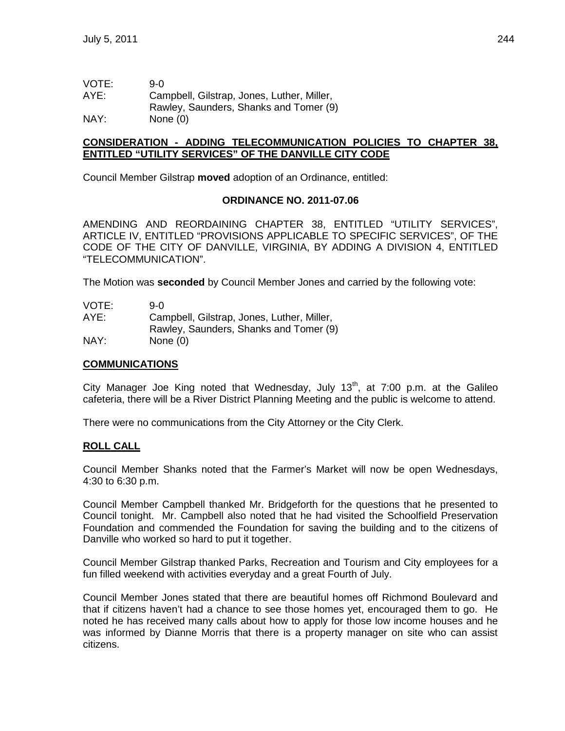VOTE: 9-0 AYE: Campbell, Gilstrap, Jones, Luther, Miller, Rawley, Saunders, Shanks and Tomer (9) NAY: None (0)

### **CONSIDERATION - ADDING TELECOMMUNICATION POLICIES TO CHAPTER 38, ENTITLED "UTILITY SERVICES" OF THE DANVILLE CITY CODE**

Council Member Gilstrap **moved** adoption of an Ordinance, entitled:

#### **ORDINANCE NO. 2011-07.06**

AMENDING AND REORDAINING CHAPTER 38, ENTITLED "UTILITY SERVICES", ARTICLE IV, ENTITLED "PROVISIONS APPLICABLE TO SPECIFIC SERVICES", OF THE CODE OF THE CITY OF DANVILLE, VIRGINIA, BY ADDING A DIVISION 4, ENTITLED "TELECOMMUNICATION".

The Motion was **seconded** by Council Member Jones and carried by the following vote:

| VOTE: | 9-0.                                       |
|-------|--------------------------------------------|
| AYE:  | Campbell, Gilstrap, Jones, Luther, Miller, |
|       | Rawley, Saunders, Shanks and Tomer (9)     |
| NAY:  | None $(0)$                                 |

#### **COMMUNICATIONS**

City Manager Joe King noted that Wednesday, July  $13<sup>th</sup>$ , at 7:00 p.m. at the Galileo cafeteria, there will be a River District Planning Meeting and the public is welcome to attend.

There were no communications from the City Attorney or the City Clerk.

#### **ROLL CALL**

Council Member Shanks noted that the Farmer's Market will now be open Wednesdays, 4:30 to 6:30 p.m.

Council Member Campbell thanked Mr. Bridgeforth for the questions that he presented to Council tonight. Mr. Campbell also noted that he had visited the Schoolfield Preservation Foundation and commended the Foundation for saving the building and to the citizens of Danville who worked so hard to put it together.

Council Member Gilstrap thanked Parks, Recreation and Tourism and City employees for a fun filled weekend with activities everyday and a great Fourth of July.

Council Member Jones stated that there are beautiful homes off Richmond Boulevard and that if citizens haven't had a chance to see those homes yet, encouraged them to go. He noted he has received many calls about how to apply for those low income houses and he was informed by Dianne Morris that there is a property manager on site who can assist citizens.